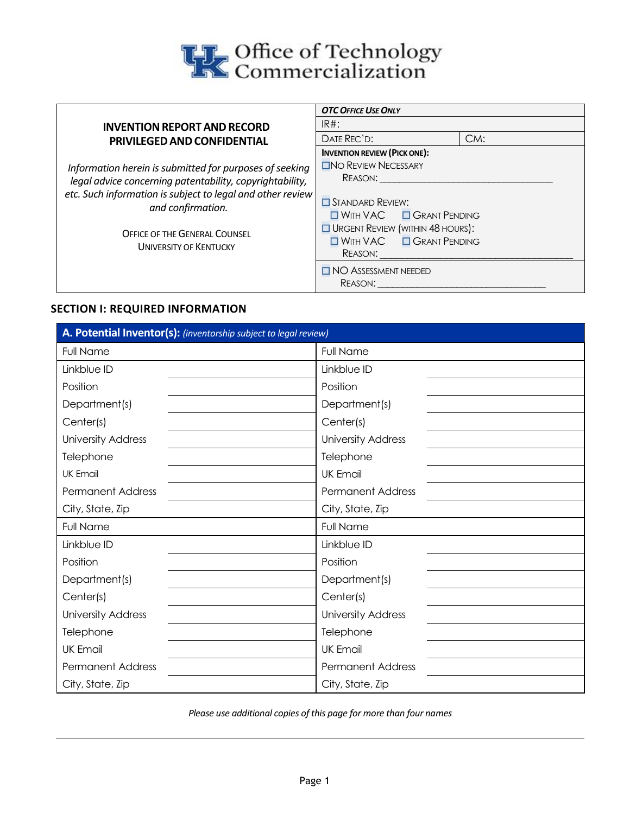

|                                                                                 | <b>OTC OFFICE USE ONLY</b>                                                                 |     |  |
|---------------------------------------------------------------------------------|--------------------------------------------------------------------------------------------|-----|--|
| <b>INVENTION REPORT AND RECORD</b>                                              | $IR#$ :                                                                                    |     |  |
| <b>PRIVILEGED AND CONFIDENTIAL</b>                                              | DATE REC'D:                                                                                | CM: |  |
|                                                                                 | <b>INVENTION REVIEW (PICK ONE):</b>                                                        |     |  |
| Information herein is submitted for purposes of seeking                         | $\square$ No REVIEW NECESSARY                                                              |     |  |
| legal advice concerning patentability, copyrightability,                        | Reason:                                                                                    |     |  |
| etc. Such information is subject to legal and other review<br>and confirmation. | $\Box$ STANDARD REVIEW:<br>$\Box$ WITH VAC $\Box$ GRANT PENDING                            |     |  |
| <b>OFFICE OF THE GENERAL COUNSEL</b><br><b>UNIVERSITY OF KENTUCKY</b>           | $\Box$ URGENT REVIEW (WITHIN 48 HOURS):<br>$\Box$ WITH VAC $\Box$ GRANT PENDING<br>REASON: |     |  |
|                                                                                 | $\Box$ NO ASSESSMENT NEEDED<br>REASON:                                                     |     |  |

## **SECTION I: REQUIRED INFORMATION**

| A. Potential Inventor(s): (inventorship subject to legal review) |                           |  |  |
|------------------------------------------------------------------|---------------------------|--|--|
| <b>Full Name</b>                                                 | <b>Full Name</b>          |  |  |
| Linkblue ID                                                      | Linkblue ID               |  |  |
| Position                                                         | Position                  |  |  |
| Department(s)                                                    | Department(s)             |  |  |
| Center(s)                                                        | Center(s)                 |  |  |
| <b>University Address</b>                                        | <b>University Address</b> |  |  |
| Telephone                                                        | Telephone                 |  |  |
| <b>UK Email</b>                                                  | <b>UK Email</b>           |  |  |
| <b>Permanent Address</b>                                         | <b>Permanent Address</b>  |  |  |
| City, State, Zip                                                 | City, State, Zip          |  |  |
| Full Name                                                        | Full Name                 |  |  |
| Linkblue ID                                                      | Linkblue ID               |  |  |
| Position                                                         | Position                  |  |  |
| Department(s)                                                    | Department(s)             |  |  |
| Center(s)                                                        | Center(s)                 |  |  |
| <b>University Address</b>                                        | <b>University Address</b> |  |  |
| Telephone                                                        | Telephone                 |  |  |
| <b>UK Email</b>                                                  | <b>UK Email</b>           |  |  |
| <b>Permanent Address</b>                                         | <b>Permanent Address</b>  |  |  |
| City, State, Zip                                                 | City, State, Zip          |  |  |

*Please use additional copies of this page for more than four names*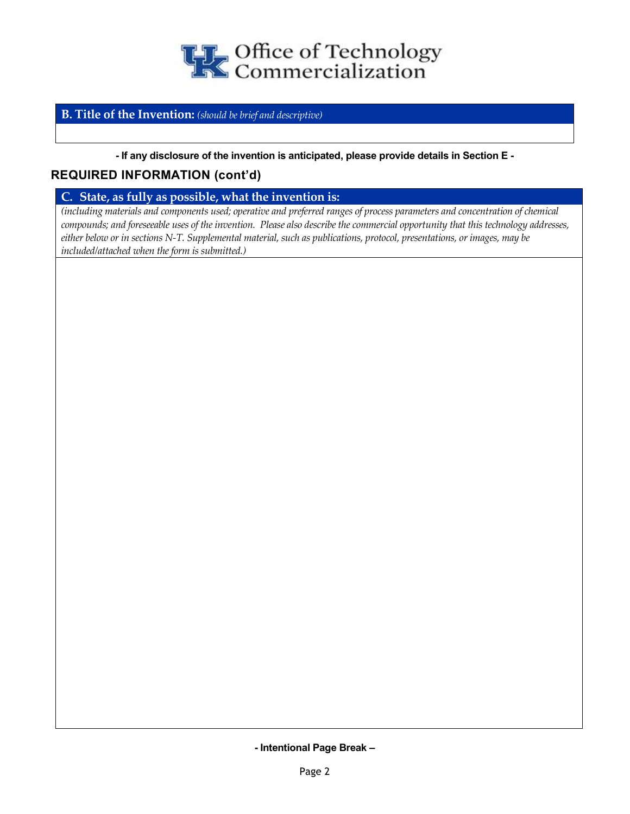

## **B. Title of the Invention:** *(should be brief and descriptive)*

#### **- If any disclosure of the invention is anticipated, please provide details in Section E -**

## **REQUIRED INFORMATION (cont'd)**

**C. State, as fully as possible, what the invention is:** 

*(including materials and components used; operative and preferred ranges of process parameters and concentration of chemical compounds; and foreseeable uses of the invention. Please also describe the commercial opportunity that this technology addresses, either below or in sections N-T. Supplemental material, such as publications, protocol, presentations, or images, may be included/attached when the form is submitted.)*

**- Intentional Page Break –**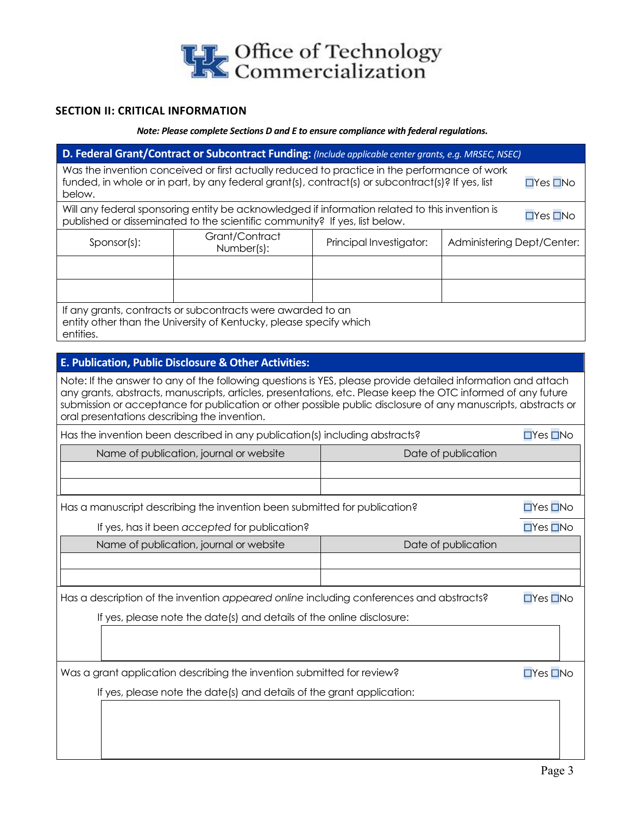

## **SECTION II: CRITICAL INFORMATION**

*Note: Please complete Sections D and E to ensure compliance with federal regulations.*

| D. Federal Grant/Contract or Subcontract Funding: (Include applicable center grants, e.g. MRSEC, NSEC) |                                                                                                                                                                                                                                                                                                                                               |                         |                            |                      |
|--------------------------------------------------------------------------------------------------------|-----------------------------------------------------------------------------------------------------------------------------------------------------------------------------------------------------------------------------------------------------------------------------------------------------------------------------------------------|-------------------------|----------------------------|----------------------|
| below.                                                                                                 | Was the invention conceived or first actually reduced to practice in the performance of work<br>funded, in whole or in part, by any federal grant(s), contract(s) or subcontract(s)? If yes, list                                                                                                                                             |                         |                            | $\Box$ Yes $\Box$ No |
|                                                                                                        | Will any federal sponsoring entity be acknowledged if information related to this invention is<br>published or disseminated to the scientific community? If yes, list below.                                                                                                                                                                  |                         |                            | $\Box$ Yes $\Box$ No |
| Sponsor(s):                                                                                            | Grant/Contract<br>Number(s):                                                                                                                                                                                                                                                                                                                  | Principal Investigator: | Administering Dept/Center: |                      |
|                                                                                                        |                                                                                                                                                                                                                                                                                                                                               |                         |                            |                      |
| entities.                                                                                              | If any grants, contracts or subcontracts were awarded to an<br>entity other than the University of Kentucky, please specify which                                                                                                                                                                                                             |                         |                            |                      |
|                                                                                                        | E. Publication, Public Disclosure & Other Activities:                                                                                                                                                                                                                                                                                         |                         |                            |                      |
| oral presentations describing the invention.                                                           | Note: If the answer to any of the following questions is YES, please provide detailed information and attach<br>any grants, abstracts, manuscripts, articles, presentations, etc. Please keep the OTC informed of any future<br>submission or acceptance for publication or other possible public disclosure of any manuscripts, abstracts or |                         |                            |                      |
|                                                                                                        | Has the invention been described in any publication(s) including abstracts?                                                                                                                                                                                                                                                                   |                         |                            | $\Box$ Yes $\Box$ No |
|                                                                                                        | Name of publication, journal or website                                                                                                                                                                                                                                                                                                       |                         | Date of publication        |                      |
| $\Box$ Yes $\Box$ No<br>Has a manuscript describing the invention been submitted for publication?      |                                                                                                                                                                                                                                                                                                                                               |                         |                            |                      |
|                                                                                                        | If yes, has it been accepted for publication?                                                                                                                                                                                                                                                                                                 |                         |                            | $\Box$ Yes $\Box$ No |
|                                                                                                        | Name of publication, journal or website                                                                                                                                                                                                                                                                                                       |                         | Date of publication        |                      |
|                                                                                                        |                                                                                                                                                                                                                                                                                                                                               |                         |                            |                      |
|                                                                                                        | Has a description of the invention appeared online including conferences and abstracts?                                                                                                                                                                                                                                                       |                         |                            | $\Box$ Yes $\Box$ No |
|                                                                                                        | If yes, please note the date(s) and details of the online disclosure:                                                                                                                                                                                                                                                                         |                         |                            |                      |
|                                                                                                        | Was a grant application describing the invention submitted for review?                                                                                                                                                                                                                                                                        |                         |                            | $\Box$ Yes $\Box$ No |
|                                                                                                        | If yes, please note the date(s) and details of the grant application:                                                                                                                                                                                                                                                                         |                         |                            |                      |
|                                                                                                        |                                                                                                                                                                                                                                                                                                                                               |                         |                            |                      |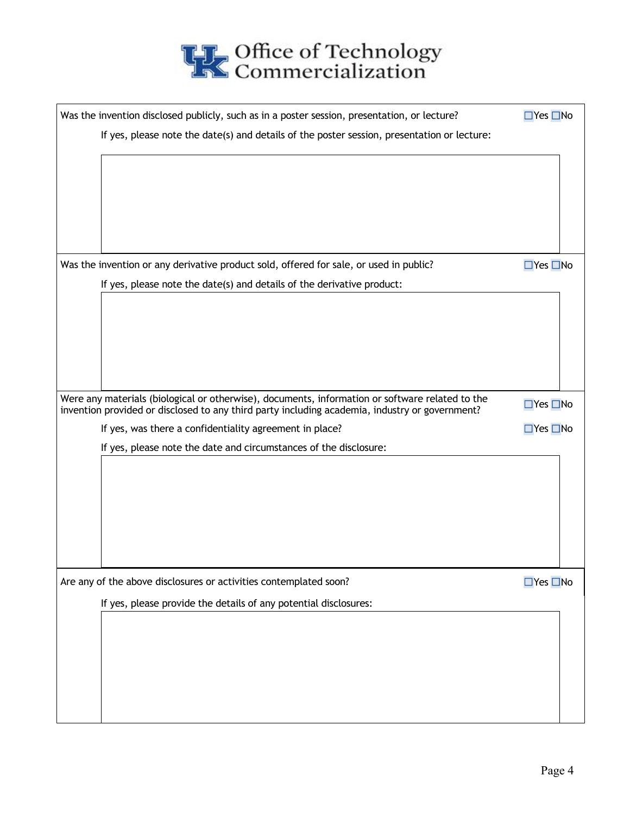

| Was the invention disclosed publicly, such as in a poster session, presentation, or lecture?                                                                                                      | $\Box$ Yes $\Box$ No |
|---------------------------------------------------------------------------------------------------------------------------------------------------------------------------------------------------|----------------------|
| If yes, please note the date(s) and details of the poster session, presentation or lecture:                                                                                                       |                      |
|                                                                                                                                                                                                   |                      |
|                                                                                                                                                                                                   |                      |
|                                                                                                                                                                                                   |                      |
|                                                                                                                                                                                                   |                      |
|                                                                                                                                                                                                   |                      |
| Was the invention or any derivative product sold, offered for sale, or used in public?                                                                                                            | $\Box$ Yes $\Box$ No |
| If yes, please note the date(s) and details of the derivative product:                                                                                                                            |                      |
|                                                                                                                                                                                                   |                      |
|                                                                                                                                                                                                   |                      |
|                                                                                                                                                                                                   |                      |
|                                                                                                                                                                                                   |                      |
|                                                                                                                                                                                                   |                      |
| Were any materials (biological or otherwise), documents, information or software related to the<br>invention provided or disclosed to any third party including academia, industry or government? | $\Box$ Yes $\Box$ No |
| If yes, was there a confidentiality agreement in place?                                                                                                                                           | $\Box$ Yes $\Box$ No |
| If yes, please note the date and circumstances of the disclosure:                                                                                                                                 |                      |
|                                                                                                                                                                                                   |                      |
|                                                                                                                                                                                                   |                      |
|                                                                                                                                                                                                   |                      |
|                                                                                                                                                                                                   |                      |
|                                                                                                                                                                                                   |                      |
| Are any of the above disclosures or activities contemplated soon?                                                                                                                                 | $\Box$ Yes $\Box$ No |
| If yes, please provide the details of any potential disclosures:                                                                                                                                  |                      |
|                                                                                                                                                                                                   |                      |
|                                                                                                                                                                                                   |                      |
|                                                                                                                                                                                                   |                      |
|                                                                                                                                                                                                   |                      |
|                                                                                                                                                                                                   |                      |
|                                                                                                                                                                                                   |                      |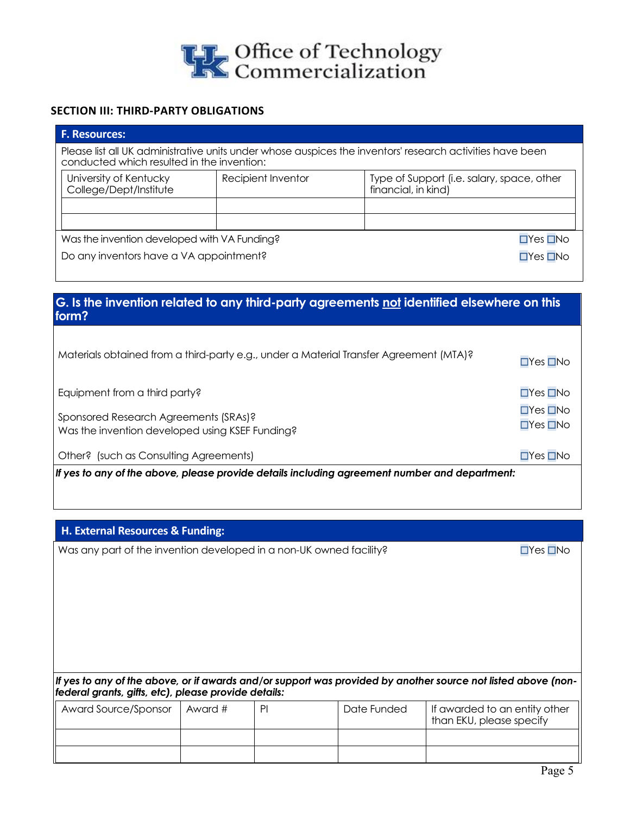

#### **SECTION III: THIRD-PARTY OBLIGATIONS**

| <b>F. Resources:</b>                                                                                                                                    |                    |                                                                   |  |  |
|---------------------------------------------------------------------------------------------------------------------------------------------------------|--------------------|-------------------------------------------------------------------|--|--|
| Please list all UK administrative units under whose auspices the inventors' research activities have been<br>conducted which resulted in the invention: |                    |                                                                   |  |  |
| University of Kentucky<br>College/Dept/Institute                                                                                                        | Recipient Inventor | Type of Support (i.e. salary, space, other<br>financial, in kind) |  |  |
|                                                                                                                                                         |                    |                                                                   |  |  |
| Was the invention developed with VA Funding?<br>$\Box$ Yes $\Box$ No                                                                                    |                    |                                                                   |  |  |
| Do any inventors have a VA appointment?<br>$\Box$ Yes $\Box$ No                                                                                         |                    |                                                                   |  |  |
|                                                                                                                                                         |                    |                                                                   |  |  |

# **G. Is the invention related to any third-party agreements not identified elsewhere on this form?**

| Materials obtained from a third-party e.g., under a Material Transfer Agreement (MTA)?        | $\Box$ Yes $\Box$ No                         |
|-----------------------------------------------------------------------------------------------|----------------------------------------------|
| Equipment from a third party?                                                                 | $\Box$ Yes $\Box$ No                         |
| Sponsored Research Agreements (SRAs)?<br>Was the invention developed using KSEF Funding?      | $\Box$ Yes $\Box$ No<br>$\Box$ Yes $\Box$ No |
| Other? (such as Consulting Agreements)                                                        | $\Box$ Yes $\Box$ No                         |
| If yes to any of the above, please provide details including agreement number and department: |                                              |

## **H. External Resources & Funding:**

Was any part of the invention developed in a non-UK owned facility? ☐Yes ☐No

*If yes to any of the above, or if awards and/or support was provided by another source not listed above (nonfederal grants, gifts, etc), please provide details:*

| Award Source/Sponsor | Award # | PI | Date Funded | If awarded to an entity other<br>than EKU, please specify |
|----------------------|---------|----|-------------|-----------------------------------------------------------|
|                      |         |    |             |                                                           |
|                      |         |    |             |                                                           |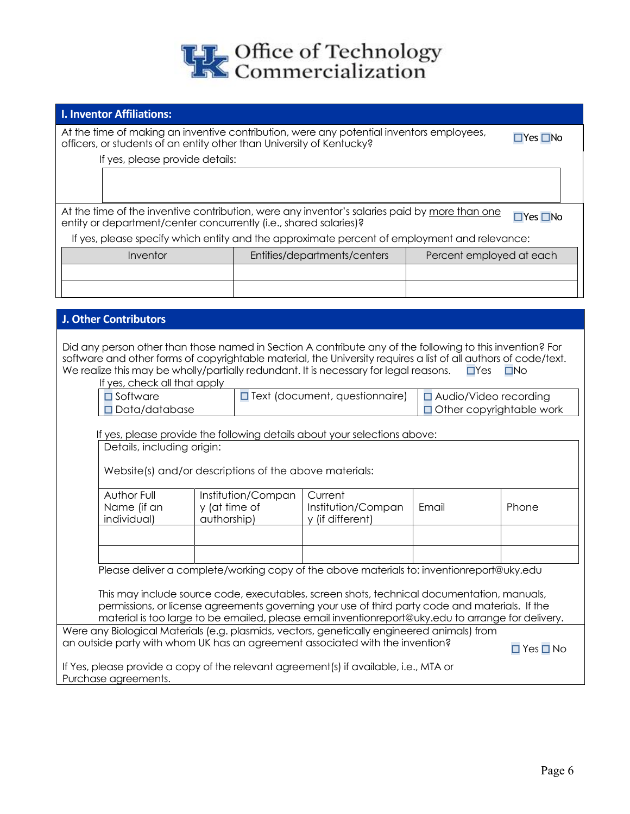

## **I. Inventor Affiliations:**

At the time of making an inventive contribution, were any potential inventors employees, At the lime of making an inventive commoditor), were any potential inventiors employees, <br>
officers, or students of an entity other than University of Kentucky?

If yes, please provide details:

At the time of the inventive contribution, were any inventor's salaries paid by more than one At the firme of the inventive continuation, were any inventor s salaries paid by <u>more than one</u> ⊿ Yes **□No**<br>entity or department/center concurrently (i.e., shared salaries)?

If yes, please specify which entity and the approximate percent of employment and relevance:

| Inventor | Entities/departments/centers | Percent employed at each |
|----------|------------------------------|--------------------------|
|          |                              |                          |
|          |                              |                          |

| <b>J. Other Contributors</b>                                                                                                                                                                                                                                                                                                                                                        |                                                    |                                                                                           |                                                            |  |
|-------------------------------------------------------------------------------------------------------------------------------------------------------------------------------------------------------------------------------------------------------------------------------------------------------------------------------------------------------------------------------------|----------------------------------------------------|-------------------------------------------------------------------------------------------|------------------------------------------------------------|--|
| Did any person other than those named in Section A contribute any of the following to this invention? For<br>software and other forms of copyrightable material, the University requires a list of all authors of code/text.<br>We realize this may be wholly/partially redundant. It is necessary for legal reasons.<br>$\Box$ Yes<br>$\square$ No<br>If yes, check all that apply |                                                    |                                                                                           |                                                            |  |
| $\square$ Software<br>Data/database                                                                                                                                                                                                                                                                                                                                                 |                                                    | <b>O</b> Text (document, questionnaire)                                                   | □ Audio/Video recording<br>$\Box$ Other copyrightable work |  |
| If yes, please provide the following details about your selections above:<br>Details, including origin:<br>Website(s) and/or descriptions of the above materials:                                                                                                                                                                                                                   |                                                    |                                                                                           |                                                            |  |
| Author Full<br>Name (if an<br>individual)                                                                                                                                                                                                                                                                                                                                           | Institution/Compan<br>y (at time of<br>authorship) | Current<br>Institution/Compan<br>Email<br>Phone<br>y (if different)                       |                                                            |  |
|                                                                                                                                                                                                                                                                                                                                                                                     |                                                    | Please deliver a complete/working copy of the above materials to: inventionreport@uky.edu |                                                            |  |
| This may include source code, executables, screen shots, technical documentation, manuals,<br>permissions, or license agreements governing your use of third party code and materials. If the<br>material is too large to be emailed, please email inventionreport@uky.edu to arrange for delivery.                                                                                 |                                                    |                                                                                           |                                                            |  |
| Were any Biological Materials (e.g. plasmids, vectors, genetically engineered animals) from<br>an outside party with whom UK has an agreement associated with the invention?<br>$\Box$ Yes $\Box$ No                                                                                                                                                                                |                                                    |                                                                                           |                                                            |  |
| If Yes, please provide a copy of the relevant agreement(s) if available, i.e., MTA or<br>Purchase agreements.                                                                                                                                                                                                                                                                       |                                                    |                                                                                           |                                                            |  |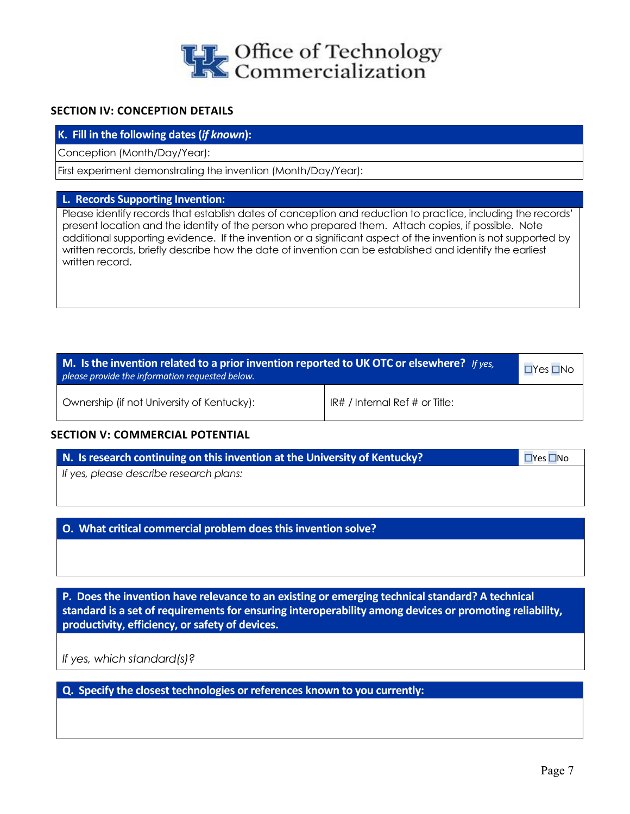

## **SECTION IV: CONCEPTION DETAILS**

#### **K. Fill in the following dates (***if known***):**

Conception (Month/Day/Year):

First experiment demonstrating the invention (Month/Day/Year):

#### **L. Records Supporting Invention:**

Please identify records that establish dates of conception and reduction to practice, including the records' present location and the identity of the person who prepared them. Attach copies, if possible. Note additional supporting evidence. If the invention or a significant aspect of the invention is not supported by written records, briefly describe how the date of invention can be established and identify the earliest written record.

| M. Is the invention related to a prior invention reported to UK OTC or elsewhere? If yes,<br>please provide the information requested below. |                                    |  |
|----------------------------------------------------------------------------------------------------------------------------------------------|------------------------------------|--|
| Ownership (if not University of Kentucky):                                                                                                   | $IR#$ / Internal Ref $#$ or Title: |  |

#### **SECTION V: COMMERCIAL POTENTIAL**

| N. Is research continuing on this invention at the University of Kentucky? | $\Box$ Yes $\Box$ No |
|----------------------------------------------------------------------------|----------------------|
| If yes, please describe research plans:                                    |                      |
|                                                                            |                      |

**O. What critical commercial problem does this invention solve?**

**P. Does the invention have relevance to an existing or emerging technical standard? A technical standard is a set of requirements for ensuring interoperability among devices or promoting reliability, productivity, efficiency, or safety of devices.**

*If yes, which standard(s)?*

**Q. Specify the closest technologies or references known to you currently:**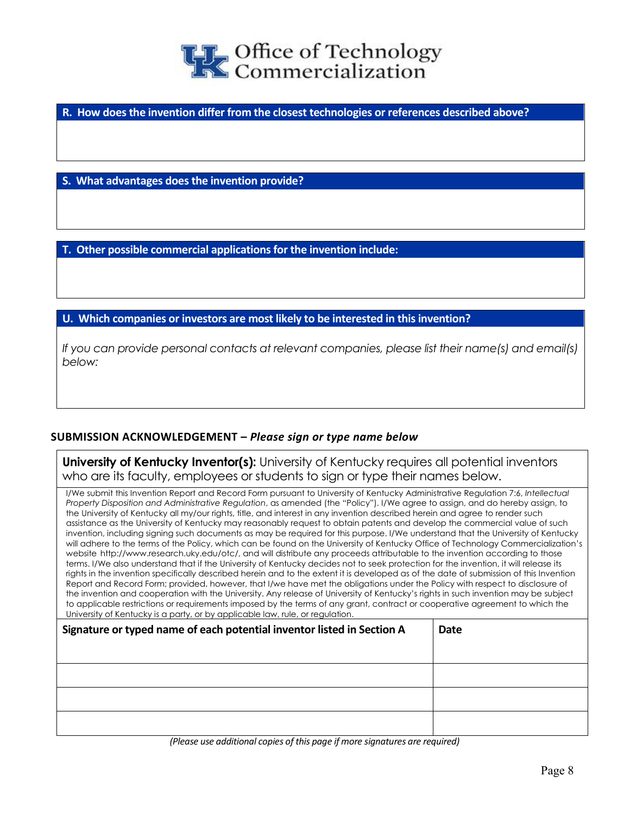

**R. How does the invention differ from the closest technologies or references described above?**

**S. What advantages does the invention provide?**

**T. Other possible commercial applications for the invention include:**

**U. Which companies or investors are most likely to be interested in this invention?**

*If you can provide personal contacts at relevant companies, please list their name(s) and email(s) below:*

## **SUBMISSION ACKNOWLEDGEMENT –** *Please sign or type name below*

**University of Kentucky Inventor(s):** University of Kentucky requires all potential inventors who are its faculty, employees or students to sign or type their names below.

I/We submit this Invention Report and Record Form pursuant to University of Kentucky Administrative Regulation 7:6, *Intellectual Property Disposition and Administrative Regulation*, as amended (the "Policy"). I/We agree to assign, and do hereby assign, to the University of Kentucky all my/our rights, title, and interest in any invention described herein and agree to render such assistance as the University of Kentucky may reasonably request to obtain patents and develop the commercial value of such invention, including signing such documents as may be required for this purpose. I/We understand that the University of Kentucky will adhere to the terms of the Policy, which can be found on the University of Kentucky Office of Technology Commercialization's website http://www.research.uky.edu/otc/, and will distribute any proceeds attributable to the invention according to those terms. I/We also understand that if the University of Kentucky decides not to seek protection for the invention, it will release its rights in the invention specifically described herein and to the extent it is developed as of the date of submission of this Invention Report and Record Form; provided, however, that I/we have met the obligations under the Policy with respect to disclosure of the invention and cooperation with the University. Any release of University of Kentucky's rights in such invention may be subject to applicable restrictions or requirements imposed by the terms of any grant, contract or cooperative agreement to which the University of Kentucky is a party, or by applicable law, rule, or regulation.

| Signature or typed name of each potential inventor listed in Section A | <b>Date</b> |
|------------------------------------------------------------------------|-------------|
|                                                                        |             |
|                                                                        |             |
|                                                                        |             |
|                                                                        |             |

*(Please use additional copies of this page if more signatures are required)*